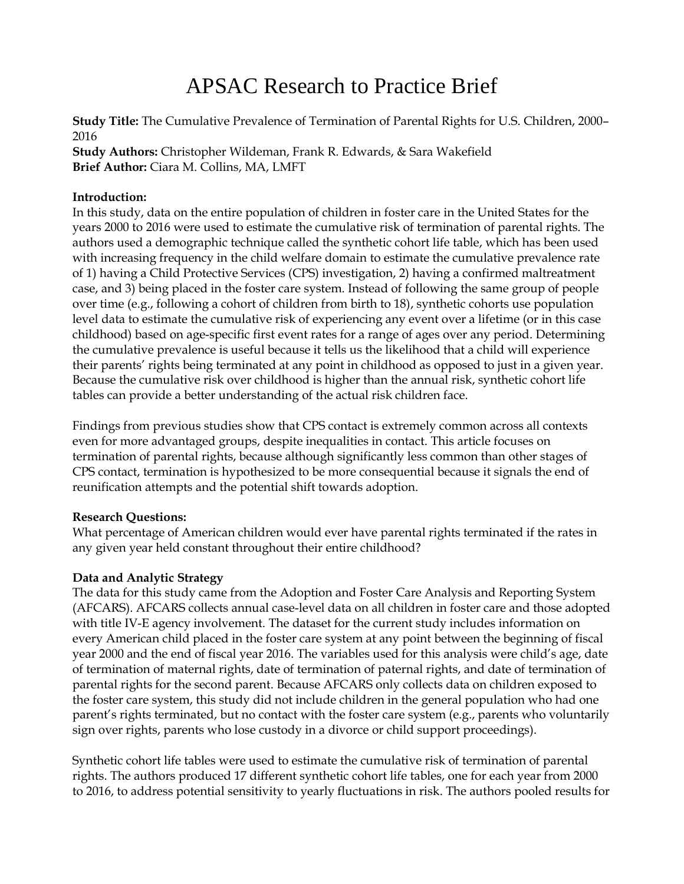# APSAC Research to Practice Brief

**Study Title:** The Cumulative Prevalence of Termination of Parental Rights for U.S. Children, 2000– 2016

**Study Authors:** Christopher Wildeman, Frank R. Edwards, & Sara Wakefield **Brief Author:** Ciara M. Collins, MA, LMFT

# **Introduction:**

In this study, data on the entire population of children in foster care in the United States for the years 2000 to 2016 were used to estimate the cumulative risk of termination of parental rights. The authors used a demographic technique called the synthetic cohort life table, which has been used with increasing frequency in the child welfare domain to estimate the cumulative prevalence rate of 1) having a Child Protective Services (CPS) investigation, 2) having a confirmed maltreatment case, and 3) being placed in the foster care system. Instead of following the same group of people over time (e.g., following a cohort of children from birth to 18), synthetic cohorts use population level data to estimate the cumulative risk of experiencing any event over a lifetime (or in this case childhood) based on age-specific first event rates for a range of ages over any period. Determining the cumulative prevalence is useful because it tells us the likelihood that a child will experience their parents' rights being terminated at any point in childhood as opposed to just in a given year. Because the cumulative risk over childhood is higher than the annual risk, synthetic cohort life tables can provide a better understanding of the actual risk children face.

Findings from previous studies show that CPS contact is extremely common across all contexts even for more advantaged groups, despite inequalities in contact. This article focuses on termination of parental rights, because although significantly less common than other stages of CPS contact, termination is hypothesized to be more consequential because it signals the end of reunification attempts and the potential shift towards adoption.

# **Research Questions:**

What percentage of American children would ever have parental rights terminated if the rates in any given year held constant throughout their entire childhood?

# **Data and Analytic Strategy**

The data for this study came from the Adoption and Foster Care Analysis and Reporting System (AFCARS). AFCARS collects annual case-level data on all children in foster care and those adopted with title IV-E agency involvement. The dataset for the current study includes information on every American child placed in the foster care system at any point between the beginning of fiscal year 2000 and the end of fiscal year 2016. The variables used for this analysis were child's age, date of termination of maternal rights, date of termination of paternal rights, and date of termination of parental rights for the second parent. Because AFCARS only collects data on children exposed to the foster care system, this study did not include children in the general population who had one parent's rights terminated, but no contact with the foster care system (e.g., parents who voluntarily sign over rights, parents who lose custody in a divorce or child support proceedings).

Synthetic cohort life tables were used to estimate the cumulative risk of termination of parental rights. The authors produced 17 different synthetic cohort life tables, one for each year from 2000 to 2016, to address potential sensitivity to yearly fluctuations in risk. The authors pooled results for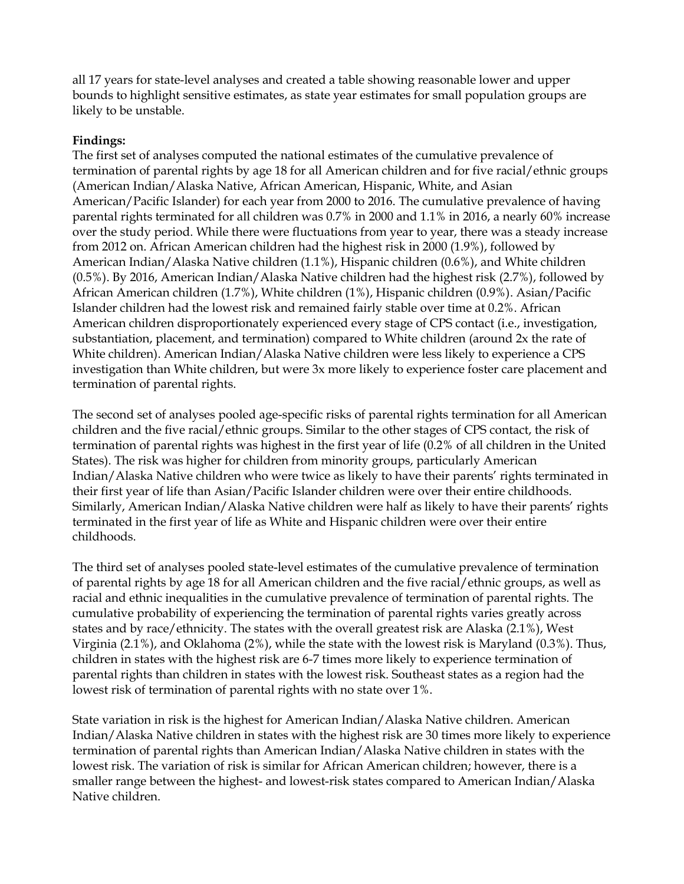all 17 years for state-level analyses and created a table showing reasonable lower and upper bounds to highlight sensitive estimates, as state year estimates for small population groups are likely to be unstable.

# **Findings:**

The first set of analyses computed the national estimates of the cumulative prevalence of termination of parental rights by age 18 for all American children and for five racial/ethnic groups (American Indian/Alaska Native, African American, Hispanic, White, and Asian American/Pacific Islander) for each year from 2000 to 2016. The cumulative prevalence of having parental rights terminated for all children was 0.7% in 2000 and 1.1% in 2016, a nearly 60% increase over the study period. While there were fluctuations from year to year, there was a steady increase from 2012 on. African American children had the highest risk in 2000 (1.9%), followed by American Indian/Alaska Native children (1.1%), Hispanic children (0.6%), and White children (0.5%). By 2016, American Indian/Alaska Native children had the highest risk (2.7%), followed by African American children (1.7%), White children (1%), Hispanic children (0.9%). Asian/Pacific Islander children had the lowest risk and remained fairly stable over time at 0.2%. African American children disproportionately experienced every stage of CPS contact (i.e., investigation, substantiation, placement, and termination) compared to White children (around 2x the rate of White children). American Indian/Alaska Native children were less likely to experience a CPS investigation than White children, but were 3x more likely to experience foster care placement and termination of parental rights.

The second set of analyses pooled age-specific risks of parental rights termination for all American children and the five racial/ethnic groups. Similar to the other stages of CPS contact, the risk of termination of parental rights was highest in the first year of life (0.2% of all children in the United States). The risk was higher for children from minority groups, particularly American Indian/Alaska Native children who were twice as likely to have their parents' rights terminated in their first year of life than Asian/Pacific Islander children were over their entire childhoods. Similarly, American Indian/Alaska Native children were half as likely to have their parents' rights terminated in the first year of life as White and Hispanic children were over their entire childhoods.

The third set of analyses pooled state-level estimates of the cumulative prevalence of termination of parental rights by age 18 for all American children and the five racial/ethnic groups, as well as racial and ethnic inequalities in the cumulative prevalence of termination of parental rights. The cumulative probability of experiencing the termination of parental rights varies greatly across states and by race/ethnicity. The states with the overall greatest risk are Alaska (2.1%), West Virginia (2.1%), and Oklahoma (2%), while the state with the lowest risk is Maryland (0.3%). Thus, children in states with the highest risk are 6-7 times more likely to experience termination of parental rights than children in states with the lowest risk. Southeast states as a region had the lowest risk of termination of parental rights with no state over 1%.

State variation in risk is the highest for American Indian/Alaska Native children. American Indian/Alaska Native children in states with the highest risk are 30 times more likely to experience termination of parental rights than American Indian/Alaska Native children in states with the lowest risk. The variation of risk is similar for African American children; however, there is a smaller range between the highest- and lowest-risk states compared to American Indian/Alaska Native children.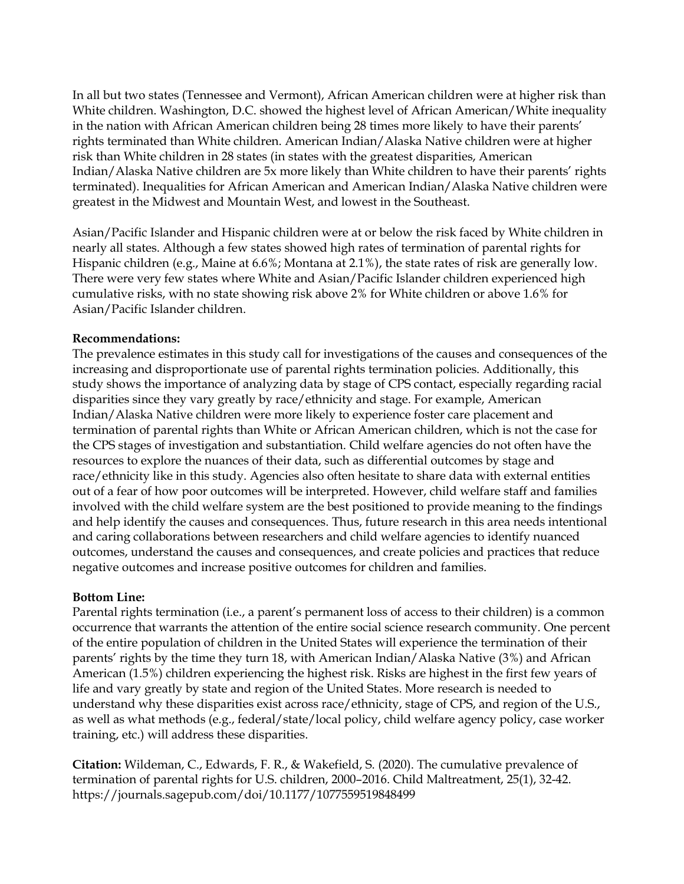In all but two states (Tennessee and Vermont), African American children were at higher risk than White children. Washington, D.C. showed the highest level of African American/White inequality in the nation with African American children being 28 times more likely to have their parents' rights terminated than White children. American Indian/Alaska Native children were at higher risk than White children in 28 states (in states with the greatest disparities, American Indian/Alaska Native children are 5x more likely than White children to have their parents' rights terminated). Inequalities for African American and American Indian/Alaska Native children were greatest in the Midwest and Mountain West, and lowest in the Southeast.

Asian/Pacific Islander and Hispanic children were at or below the risk faced by White children in nearly all states. Although a few states showed high rates of termination of parental rights for Hispanic children (e.g., Maine at 6.6%; Montana at 2.1%), the state rates of risk are generally low. There were very few states where White and Asian/Pacific Islander children experienced high cumulative risks, with no state showing risk above 2% for White children or above 1.6% for Asian/Pacific Islander children.

#### **Recommendations:**

The prevalence estimates in this study call for investigations of the causes and consequences of the increasing and disproportionate use of parental rights termination policies. Additionally, this study shows the importance of analyzing data by stage of CPS contact, especially regarding racial disparities since they vary greatly by race/ethnicity and stage. For example, American Indian/Alaska Native children were more likely to experience foster care placement and termination of parental rights than White or African American children, which is not the case for the CPS stages of investigation and substantiation. Child welfare agencies do not often have the resources to explore the nuances of their data, such as differential outcomes by stage and race/ethnicity like in this study. Agencies also often hesitate to share data with external entities out of a fear of how poor outcomes will be interpreted. However, child welfare staff and families involved with the child welfare system are the best positioned to provide meaning to the findings and help identify the causes and consequences. Thus, future research in this area needs intentional and caring collaborations between researchers and child welfare agencies to identify nuanced outcomes, understand the causes and consequences, and create policies and practices that reduce negative outcomes and increase positive outcomes for children and families.

#### **Bottom Line:**

Parental rights termination (i.e., a parent's permanent loss of access to their children) is a common occurrence that warrants the attention of the entire social science research community. One percent of the entire population of children in the United States will experience the termination of their parents' rights by the time they turn 18, with American Indian/Alaska Native (3%) and African American (1.5%) children experiencing the highest risk. Risks are highest in the first few years of life and vary greatly by state and region of the United States. More research is needed to understand why these disparities exist across race/ethnicity, stage of CPS, and region of the U.S., as well as what methods (e.g., federal/state/local policy, child welfare agency policy, case worker training, etc.) will address these disparities.

**Citation:** Wildeman, C., Edwards, F. R., & Wakefield, S. (2020). The cumulative prevalence of termination of parental rights for U.S. children, 2000–2016. Child Maltreatment, 25(1), 32-42. https://journals.sagepub.com/doi/10.1177/1077559519848499